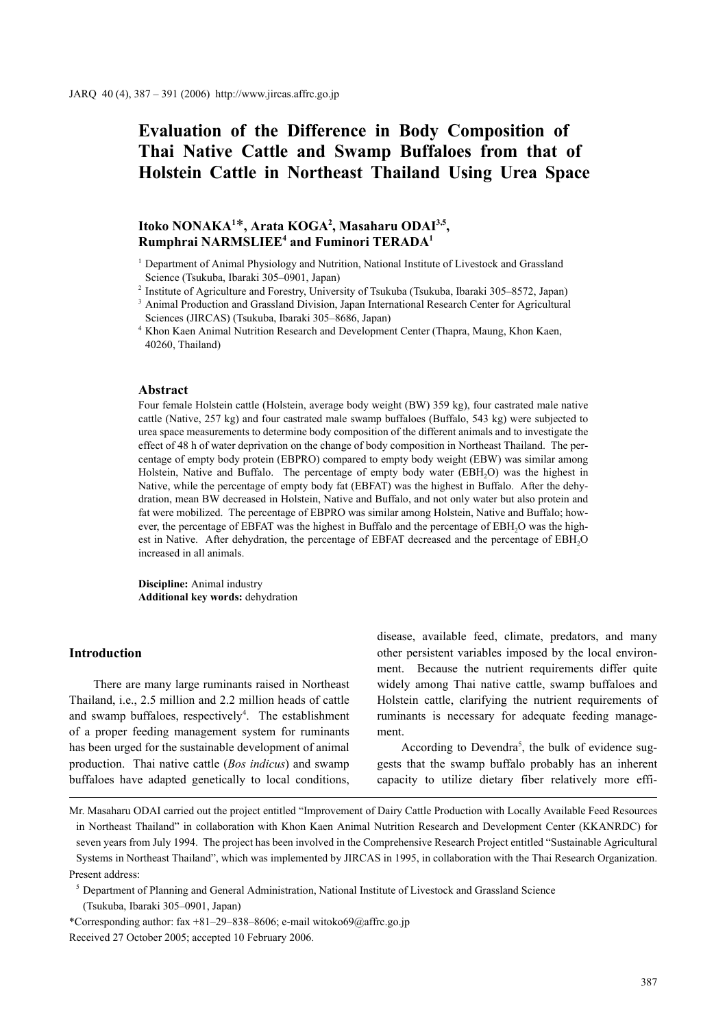# **Evaluation of the Difference in Body Composition of Thai Native Cattle and Swamp Buffaloes from that of Holstein Cattle in Northeast Thailand Using Urea Space**

# Itoko NONAKA<sup>1\*</sup>, Arata KOGA<sup>2</sup>, Masaharu ODAI<sup>3,5</sup>,  $\mathbf{R}$ umphrai NARMSLIEE<sup>4</sup> and Fuminori TERADA<sup>1</sup>

<sup>1</sup> Department of Animal Physiology and Nutrition, National Institute of Livestock and Grassland Science (Tsukuba, Ibaraki 305–0901, Japan)

<sup>2</sup> Institute of Agriculture and Forestry, University of Tsukuba (Tsukuba, Ibaraki 305–8572, Japan) <sup>3</sup> Animal Production and Grassland Division, Japan International Research Center for Agricultural Sciences (JIRCAS) (Tsukuba, Ibaraki 305–8686, Japan)

<sup>4</sup> Khon Kaen Animal Nutrition Research and Development Center (Thapra, Maung, Khon Kaen, 40260, Thailand)

#### **Abstract**

Four female Holstein cattle (Holstein, average body weight (BW) 359 kg), four castrated male native cattle (Native, 257 kg) and four castrated male swamp buffaloes (Buffalo, 543 kg) were subjected to urea space measurements to determine body composition of the different animals and to investigate the effect of 48 h of water deprivation on the change of body composition in Northeast Thailand. The percentage of empty body protein (EBPRO) compared to empty body weight (EBW) was similar among Holstein, Native and Buffalo. The percentage of empty body water (EBH<sub>2</sub>O) was the highest in Native, while the percentage of empty body fat (EBFAT) was the highest in Buffalo. After the dehydration, mean BW decreased in Holstein, Native and Buffalo, and not only water but also protein and fat were mobilized. The percentage of EBPRO was similar among Holstein, Native and Buffalo; however, the percentage of EBFAT was the highest in Buffalo and the percentage of EBH<sub>2</sub>O was the highest in Native. After dehydration, the percentage of EBFAT decreased and the percentage of EBH<sub>2</sub>O increased in all animals.

**Discipline:** Animal industry **Additional key words:** dehydration

#### **Introduction**

There are many large ruminants raised in Northeast Thailand, i.e., 2.5 million and 2.2 million heads of cattle and swamp buffaloes, respectively<sup>4</sup>. The establishment of a proper feeding management system for ruminants has been urged for the sustainable development of animal production. Thai native cattle (*Bos indicus*) and swamp buffaloes have adapted genetically to local conditions, disease, available feed, climate, predators, and many other persistent variables imposed by the local environment. Because the nutrient requirements differ quite widely among Thai native cattle, swamp buffaloes and Holstein cattle, clarifying the nutrient requirements of ruminants is necessary for adequate feeding management.

According to Devendra<sup>5</sup>, the bulk of evidence suggests that the swamp buffalo probably has an inherent capacity to utilize dietary fiber relatively more effi-

Mr. Masaharu ODAI carried out the project entitled "Improvement of Dairy Cattle Production with Locally Available Feed Resources in Northeast Thailand" in collaboration with Khon Kaen Animal Nutrition Research and Development Center (KKANRDC) for seven years from July 1994. The project has been involved in the Comprehensive Research Project entitled "Sustainable Agricultural Systems in Northeast Thailand", which was implemented by JIRCAS in 1995, in collaboration with the Thai Research Organization. Present address:

<sup>5</sup> Department of Planning and General Administration, National Institute of Livestock and Grassland Science (Tsukuba, Ibaraki 305–0901, Japan)

\*Corresponding author: fax +81–29–838–8606; e-mail witoko69@affrc.go.jp Received 27 October 2005; accepted 10 February 2006.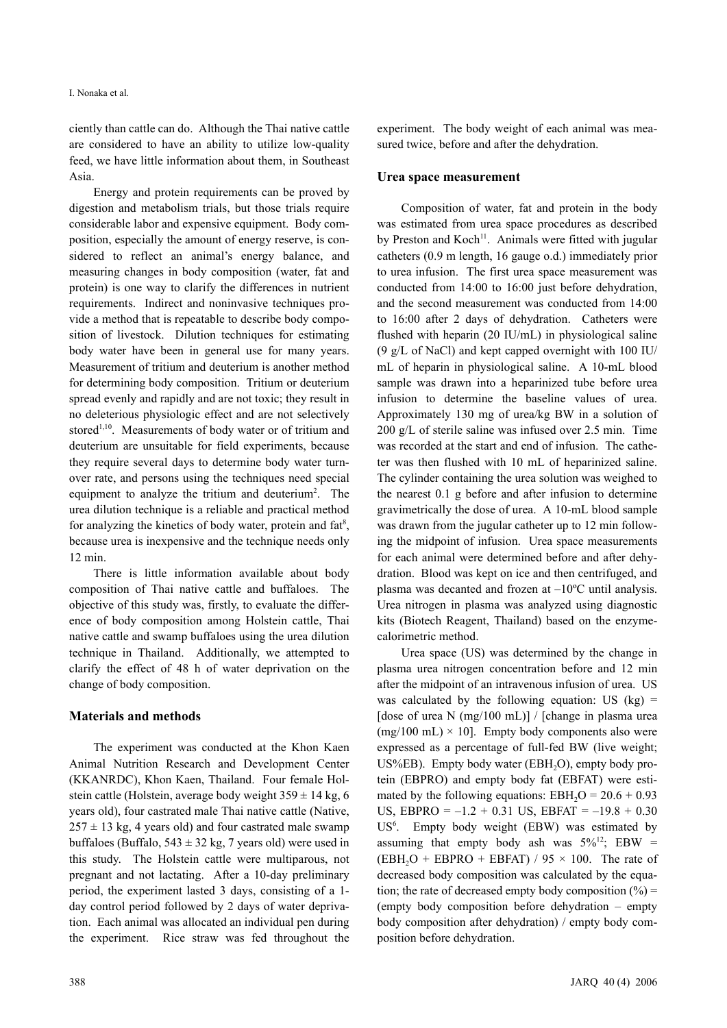ciently than cattle can do. Although the Thai native cattle are considered to have an ability to utilize low-quality feed, we have little information about them, in Southeast Asia.

Energy and protein requirements can be proved by digestion and metabolism trials, but those trials require considerable labor and expensive equipment. Body composition, especially the amount of energy reserve, is considered to reflect an animal's energy balance, and measuring changes in body composition (water, fat and protein) is one way to clarify the differences in nutrient requirements. Indirect and noninvasive techniques provide a method that is repeatable to describe body composition of livestock. Dilution techniques for estimating body water have been in general use for many years. Measurement of tritium and deuterium is another method for determining body composition. Tritium or deuterium spread evenly and rapidly and are not toxic; they result in no deleterious physiologic effect and are not selectively stored<sup>1,10</sup>. Measurements of body water or of tritium and deuterium are unsuitable for field experiments, because they require several days to determine body water turnover rate, and persons using the techniques need special equipment to analyze the tritium and deuterium<sup>2</sup>. The urea dilution technique is a reliable and practical method for analyzing the kinetics of body water, protein and fat<sup>8</sup>, because urea is inexpensive and the technique needs only 12 min.

There is little information available about body composition of Thai native cattle and buffaloes. The objective of this study was, firstly, to evaluate the difference of body composition among Holstein cattle, Thai native cattle and swamp buffaloes using the urea dilution technique in Thailand. Additionally, we attempted to clarify the effect of 48 h of water deprivation on the change of body composition.

### **Materials and methods**

The experiment was conducted at the Khon Kaen Animal Nutrition Research and Development Center (KKANRDC), Khon Kaen, Thailand. Four female Holstein cattle (Holstein, average body weight  $359 \pm 14$  kg, 6 years old), four castrated male Thai native cattle (Native,  $257 \pm 13$  kg, 4 years old) and four castrated male swamp buffaloes (Buffalo,  $543 \pm 32$  kg, 7 years old) were used in this study. The Holstein cattle were multiparous, not pregnant and not lactating. After a 10-day preliminary period, the experiment lasted 3 days, consisting of a 1 day control period followed by 2 days of water deprivation. Each animal was allocated an individual pen during the experiment. Rice straw was fed throughout the experiment. The body weight of each animal was measured twice, before and after the dehydration.

#### **Urea space measurement**

Composition of water, fat and protein in the body was estimated from urea space procedures as described by Preston and  $Koch<sup>11</sup>$ . Animals were fitted with jugular catheters (0.9 m length, 16 gauge o.d.) immediately prior to urea infusion. The first urea space measurement was conducted from 14:00 to 16:00 just before dehydration, and the second measurement was conducted from 14:00 to 16:00 after 2 days of dehydration. Catheters were flushed with heparin (20 IU/mL) in physiological saline (9 g/L of NaCl) and kept capped overnight with 100 IU/ mL of heparin in physiological saline. A 10-mL blood sample was drawn into a heparinized tube before urea infusion to determine the baseline values of urea. Approximately 130 mg of urea/kg BW in a solution of 200 g/L of sterile saline was infused over 2.5 min. Time was recorded at the start and end of infusion. The catheter was then flushed with 10 mL of heparinized saline. The cylinder containing the urea solution was weighed to the nearest 0.1 g before and after infusion to determine gravimetrically the dose of urea. A 10-mL blood sample was drawn from the jugular catheter up to 12 min following the midpoint of infusion. Urea space measurements for each animal were determined before and after dehydration. Blood was kept on ice and then centrifuged, and plasma was decanted and frozen at –10ºC until analysis. Urea nitrogen in plasma was analyzed using diagnostic kits (Biotech Reagent, Thailand) based on the enzymecalorimetric method.

Urea space (US) was determined by the change in plasma urea nitrogen concentration before and 12 min after the midpoint of an intravenous infusion of urea. US was calculated by the following equation: US  $(kg)$  = [dose of urea N  $(mg/100 \text{ mL})$ ] / [change in plasma urea  $(mg/100 \text{ mL}) \times 10$ . Empty body components also were expressed as a percentage of full-fed BW (live weight;  $US\%EB$ ). Empty body water (EBH<sub>2</sub>O), empty body protein (EBPRO) and empty body fat (EBFAT) were estimated by the following equations:  $EBH<sub>2</sub>O = 20.6 + 0.93$ US, EBPRO =  $-1.2 + 0.31$  US, EBFAT =  $-19.8 + 0.30$ US<sup>6</sup>. Empty body weight (EBW) was estimated by assuming that empty body ash was  $5\%^{12}$ ; EBW =  $(EBH<sub>2</sub>O + EBPRO + EBFAT) / 95 \times 100$ . The rate of decreased body composition was calculated by the equation; the rate of decreased empty body composition  $(%) =$ (empty body composition before dehydration – empty body composition after dehydration) / empty body composition before dehydration.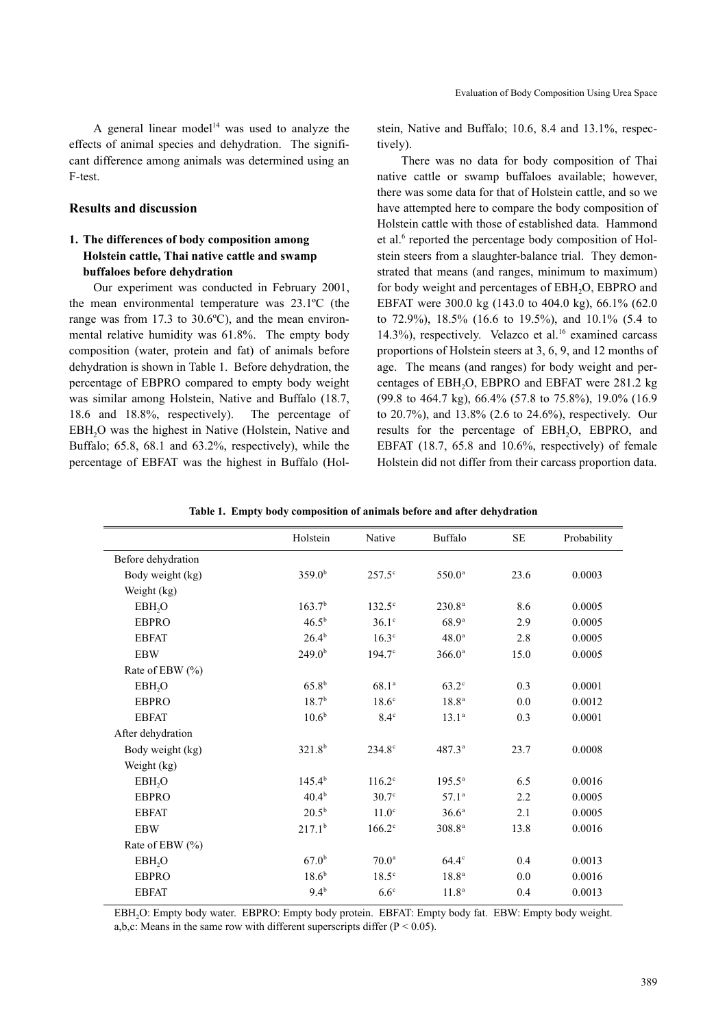A general linear model<sup>14</sup> was used to analyze the effects of animal species and dehydration. The significant difference among animals was determined using an F-test.

#### **Results and discussion**

## **1. The differences of body composition among Holstein cattle, Thai native cattle and swamp buffaloes before dehydration**

Our experiment was conducted in February 2001, the mean environmental temperature was 23.1ºC (the range was from 17.3 to 30.6ºC), and the mean environmental relative humidity was 61.8%. The empty body composition (water, protein and fat) of animals before dehydration is shown in Table 1. Before dehydration, the percentage of EBPRO compared to empty body weight was similar among Holstein, Native and Buffalo (18.7, 18.6 and 18.8%, respectively). The percentage of EBH<sub>2</sub>O was the highest in Native (Holstein, Native and Buffalo; 65.8, 68.1 and 63.2%, respectively), while the percentage of EBFAT was the highest in Buffalo (Holstein, Native and Buffalo; 10.6, 8.4 and 13.1%, respectively).

There was no data for body composition of Thai native cattle or swamp buffaloes available; however, there was some data for that of Holstein cattle, and so we have attempted here to compare the body composition of Holstein cattle with those of established data. Hammond et al.<sup>6</sup> reported the percentage body composition of Holstein steers from a slaughter-balance trial. They demonstrated that means (and ranges, minimum to maximum) for body weight and percentages of EBH<sub>2</sub>O, EBPRO and EBFAT were 300.0 kg (143.0 to 404.0 kg), 66.1% (62.0 to 72.9%), 18.5% (16.6 to 19.5%), and 10.1% (5.4 to 14.3%), respectively. Velazco et al. $16$  examined carcass proportions of Holstein steers at 3, 6, 9, and 12 months of age. The means (and ranges) for body weight and percentages of EBH2O, EBPRO and EBFAT were 281.2 kg (99.8 to 464.7 kg), 66.4% (57.8 to 75.8%), 19.0% (16.9 to 20.7%), and 13.8% (2.6 to 24.6%), respectively. Our results for the percentage of EBH<sub>2</sub>O, EBPRO, and EBFAT (18.7, 65.8 and 10.6%, respectively) of female Holstein did not differ from their carcass proportion data.

|                     | Holstein           | Native            | Buffalo            | SE   | Probability |
|---------------------|--------------------|-------------------|--------------------|------|-------------|
| Before dehydration  |                    |                   |                    |      |             |
| Body weight (kg)    | 359.0 <sup>b</sup> | $257.5^\circ$     | $550.0^{\rm a}$    | 23.6 | 0.0003      |
| Weight (kg)         |                    |                   |                    |      |             |
| EBH <sub>2</sub> O  | 163.7 <sup>b</sup> | $132.5^\circ$     | 230.8 <sup>a</sup> | 8.6  | 0.0005      |
| <b>EBPRO</b>        | $46.5^{b}$         | $36.1^\circ$      | 68.9 <sup>a</sup>  | 2.9  | 0.0005      |
| <b>EBFAT</b>        | $26.4^{b}$         | $16.3^\circ$      | $48.0^{\circ}$     | 2.8  | 0.0005      |
| <b>EBW</b>          | 249.0 <sup>b</sup> | $194.7^{\circ}$   | 366.0 <sup>a</sup> | 15.0 | 0.0005      |
| Rate of EBW $(\% )$ |                    |                   |                    |      |             |
| EBH <sub>2</sub> O  | $65.8^{b}$         | 68.1 <sup>a</sup> | $63.2^\circ$       | 0.3  | 0.0001      |
| <b>EBPRO</b>        | $18.7^{b}$         | $18.6^\circ$      | 18.8 <sup>a</sup>  | 0.0  | 0.0012      |
| <b>EBFAT</b>        | 10.6 <sup>b</sup>  | $8.4^\circ$       | $13.1^a$           | 0.3  | 0.0001      |
| After dehydration   |                    |                   |                    |      |             |
| Body weight (kg)    | 321.8 <sup>b</sup> | $234.8^{\circ}$   | $487.3^{a}$        | 23.7 | 0.0008      |
| Weight (kg)         |                    |                   |                    |      |             |
| EBH <sub>2</sub> O  | $145.4^{b}$        | $116.2^\circ$     | $195.5^{\circ}$    | 6.5  | 0.0016      |
| <b>EBPRO</b>        | $40.4^{b}$         | $30.7^\circ$      | $57.1^{\circ}$     | 2.2  | 0.0005      |
| <b>EBFAT</b>        | $20.5^{b}$         | 11.0 <sup>c</sup> | $36.6^a$           | 2.1  | 0.0005      |
| <b>EBW</b>          | 217.1 <sup>b</sup> | $166.2^\circ$     | $308.8^{a}$        | 13.8 | 0.0016      |
| Rate of EBW $(\% )$ |                    |                   |                    |      |             |
| EBH <sub>2</sub> O  | $67.0^{b}$         | 70.0 <sup>a</sup> | $64.4^\circ$       | 0.4  | 0.0013      |
| <b>EBPRO</b>        | $18.6^{b}$         | $18.5^\circ$      | 18.8 <sup>a</sup>  | 0.0  | 0.0016      |
| <b>EBFAT</b>        | $9.4^{b}$          | $6.6^\circ$       | $11.8^{\rm a}$     | 0.4  | 0.0013      |

**Table 1. Empty body composition of animals before and after dehydration**

EBH2O: Empty body water. EBPRO: Empty body protein. EBFAT: Empty body fat. EBW: Empty body weight. a,b,c: Means in the same row with different superscripts differ ( $P < 0.05$ ).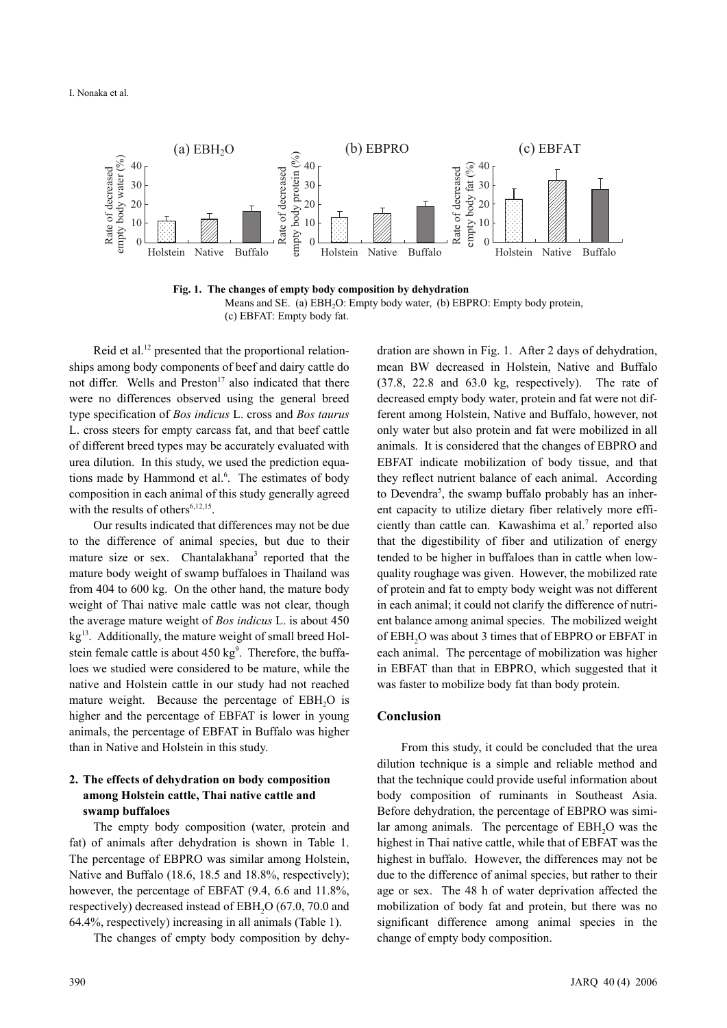

**Fig. 1. The changes of empty body composition by dehydration**  Means and SE. (a) EBH<sub>2</sub>O: Empty body water, (b) EBPRO: Empty body protein, (c) EBFAT: Empty body fat.

Reid et al.<sup>12</sup> presented that the proportional relationships among body components of beef and dairy cattle do not differ. Wells and  $Preston<sup>17</sup>$  also indicated that there were no differences observed using the general breed type specification of *Bos indicus* L. cross and *Bos taurus* L. cross steers for empty carcass fat, and that beef cattle of different breed types may be accurately evaluated with urea dilution. In this study, we used the prediction equations made by Hammond et al.<sup>6</sup>. The estimates of body composition in each animal of this study generally agreed with the results of others<sup>6,12,15</sup>.

Our results indicated that differences may not be due to the difference of animal species, but due to their mature size or sex. Chantalakhana<sup>3</sup> reported that the mature body weight of swamp buffaloes in Thailand was from 404 to 600 kg. On the other hand, the mature body weight of Thai native male cattle was not clear, though the average mature weight of *Bos indicus* L. is about 450  $kg<sup>13</sup>$ . Additionally, the mature weight of small breed Holstein female cattle is about  $450 \text{ kg}^9$ . Therefore, the buffaloes we studied were considered to be mature, while the native and Holstein cattle in our study had not reached mature weight. Because the percentage of  $EBH<sub>2</sub>O$  is higher and the percentage of EBFAT is lower in young animals, the percentage of EBFAT in Buffalo was higher than in Native and Holstein in this study.

## **2. The effects of dehydration on body composition among Holstein cattle, Thai native cattle and swamp buffaloes**

The empty body composition (water, protein and fat) of animals after dehydration is shown in Table 1. The percentage of EBPRO was similar among Holstein, Native and Buffalo (18.6, 18.5 and 18.8%, respectively); however, the percentage of EBFAT  $(9.4, 6.6, 11.8\%$ respectively) decreased instead of EBH<sub>2</sub>O (67.0, 70.0 and 64.4%, respectively) increasing in all animals (Table 1).

The changes of empty body composition by dehy-

dration are shown in Fig. 1. After 2 days of dehydration, mean BW decreased in Holstein, Native and Buffalo (37.8, 22.8 and 63.0 kg, respectively). The rate of decreased empty body water, protein and fat were not different among Holstein, Native and Buffalo, however, not only water but also protein and fat were mobilized in all animals. It is considered that the changes of EBPRO and EBFAT indicate mobilization of body tissue, and that they reflect nutrient balance of each animal. According to Devendra<sup>5</sup>, the swamp buffalo probably has an inherent capacity to utilize dietary fiber relatively more efficiently than cattle can. Kawashima et al.<sup>7</sup> reported also that the digestibility of fiber and utilization of energy tended to be higher in buffaloes than in cattle when lowquality roughage was given. However, the mobilized rate of protein and fat to empty body weight was not different in each animal; it could not clarify the difference of nutrient balance among animal species. The mobilized weight of EBH2O was about 3 times that of EBPRO or EBFAT in each animal. The percentage of mobilization was higher in EBFAT than that in EBPRO, which suggested that it was faster to mobilize body fat than body protein.

## **Conclusion**

From this study, it could be concluded that the urea dilution technique is a simple and reliable method and that the technique could provide useful information about body composition of ruminants in Southeast Asia. Before dehydration, the percentage of EBPRO was similar among animals. The percentage of EBH<sub>2</sub>O was the highest in Thai native cattle, while that of EBFAT was the highest in buffalo. However, the differences may not be due to the difference of animal species, but rather to their age or sex. The 48 h of water deprivation affected the mobilization of body fat and protein, but there was no significant difference among animal species in the change of empty body composition.